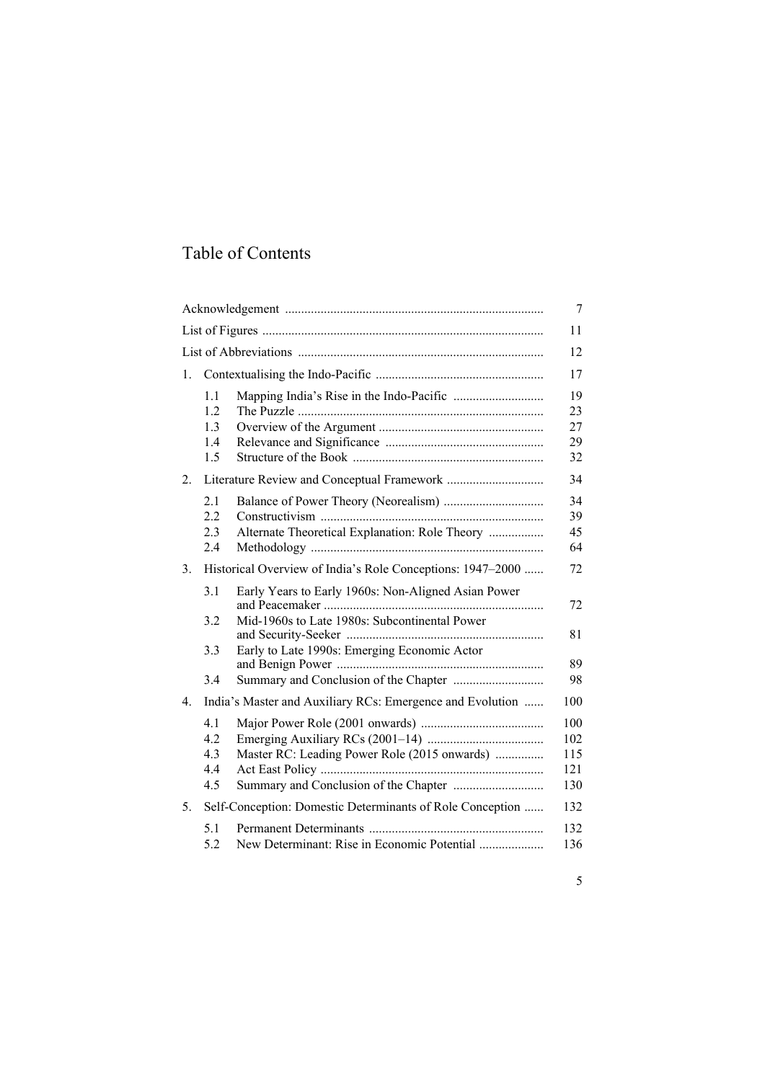## Table of Contents

|    |                                                            |                                                                                                                                                      | 7                               |  |
|----|------------------------------------------------------------|------------------------------------------------------------------------------------------------------------------------------------------------------|---------------------------------|--|
|    |                                                            |                                                                                                                                                      |                                 |  |
|    |                                                            |                                                                                                                                                      |                                 |  |
| 1. |                                                            |                                                                                                                                                      | 17                              |  |
|    | 1.1<br>1.2<br>1.3<br>1.4<br>1.5                            |                                                                                                                                                      | 19<br>23<br>27<br>29<br>32      |  |
| 2. |                                                            |                                                                                                                                                      |                                 |  |
|    | 2.1<br>2.2<br>2.3<br>2.4                                   | Alternate Theoretical Explanation: Role Theory                                                                                                       | 34<br>39<br>45<br>64            |  |
| 3. | Historical Overview of India's Role Conceptions: 1947–2000 |                                                                                                                                                      |                                 |  |
|    | 3.1<br>3.2<br>3.3                                          | Early Years to Early 1960s: Non-Aligned Asian Power<br>Mid-1960s to Late 1980s: Subcontinental Power<br>Early to Late 1990s: Emerging Economic Actor | 72<br>81<br>89                  |  |
|    | 3.4                                                        |                                                                                                                                                      | 98                              |  |
| 4. | India's Master and Auxiliary RCs: Emergence and Evolution  |                                                                                                                                                      | 100                             |  |
|    | 4.1<br>4.2<br>4.3<br>4.4<br>4.5                            | Master RC: Leading Power Role (2015 onwards)                                                                                                         | 100<br>102<br>115<br>121<br>130 |  |
| 5. | Self-Conception: Domestic Determinants of Role Conception  |                                                                                                                                                      | 132                             |  |
|    | 5.1<br>5.2                                                 | New Determinant: Rise in Economic Potential                                                                                                          | 132<br>136                      |  |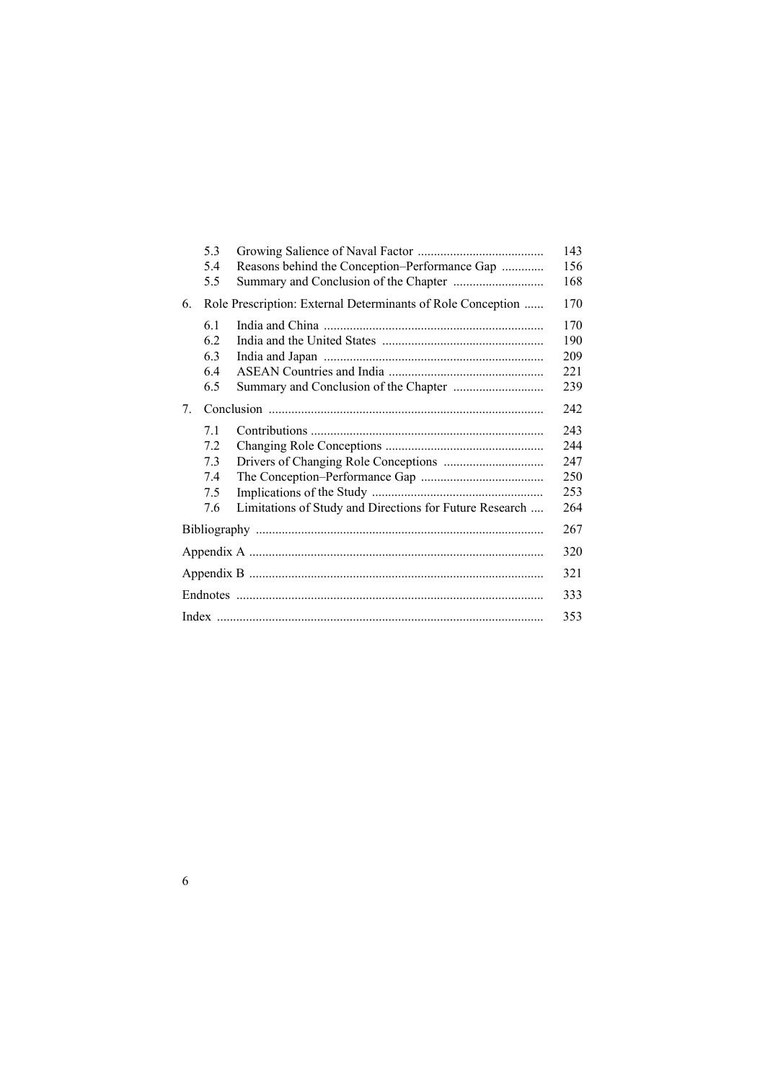|    | 5.3                                                         |                                                         | 143 |  |
|----|-------------------------------------------------------------|---------------------------------------------------------|-----|--|
|    | 5.4                                                         | Reasons behind the Conception-Performance Gap           | 156 |  |
|    | 5.5                                                         |                                                         | 168 |  |
| 6. | Role Prescription: External Determinants of Role Conception |                                                         | 170 |  |
|    | 6.1                                                         |                                                         | 170 |  |
|    | 6.2                                                         |                                                         | 190 |  |
|    | 6.3                                                         |                                                         | 209 |  |
|    | 6.4                                                         |                                                         | 221 |  |
|    | 6.5                                                         |                                                         | 239 |  |
| 7. |                                                             |                                                         |     |  |
|    | 7.1                                                         |                                                         | 243 |  |
|    | 7.2                                                         |                                                         | 244 |  |
|    | 7.3                                                         |                                                         | 247 |  |
|    | 7.4                                                         |                                                         | 250 |  |
|    | 7.5                                                         |                                                         | 253 |  |
|    | 7.6                                                         | Limitations of Study and Directions for Future Research | 264 |  |
|    |                                                             |                                                         | 267 |  |
|    |                                                             |                                                         |     |  |
|    |                                                             |                                                         |     |  |
|    |                                                             |                                                         |     |  |
|    |                                                             |                                                         |     |  |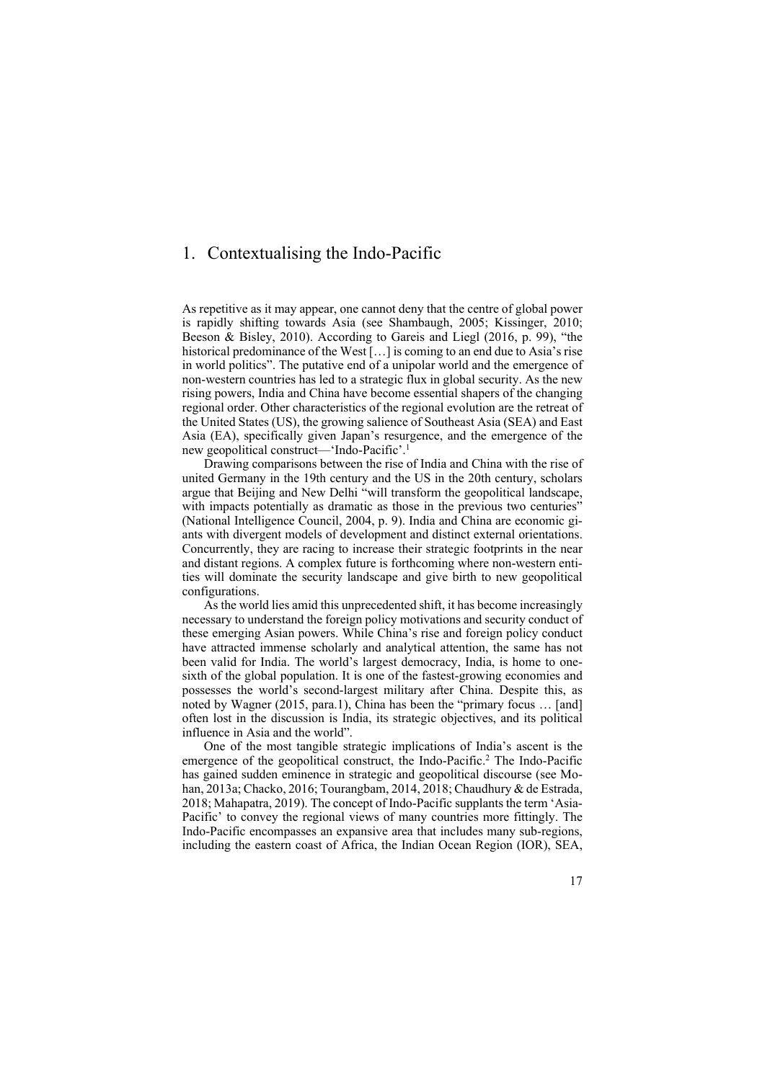## 1. Contextualising the Indo-Pacific

As repetitive as it may appear, one cannot deny that the centre of global power is rapidly shifting towards Asia (see Shambaugh, 2005; Kissinger, 2010; Beeson & Bisley, 2010). According to Gareis and Liegl (2016, p. 99), "the historical predominance of the West [...] is coming to an end due to Asia's rise in world politics". The putative end of a unipolar world and the emergence of non-western countries has led to a strategic flux in global security. As the new rising powers, India and China have become essential shapers of the changing regional order. Other characteristics of the regional evolution are the retreat of the United States (US), the growing salience of Southeast Asia (SEA) and East Asia (EA), specifically given Japan's resurgence, and the emergence of the new geopolitical construct—'Indo-Pacific'.1

Drawing comparisons between the rise of India and China with the rise of united Germany in the 19th century and the US in the 20th century, scholars argue that Beijing and New Delhi "will transform the geopolitical landscape, with impacts potentially as dramatic as those in the previous two centuries" (National Intelligence Council, 2004, p. 9). India and China are economic giants with divergent models of development and distinct external orientations. Concurrently, they are racing to increase their strategic footprints in the near and distant regions. A complex future is forthcoming where non-western entities will dominate the security landscape and give birth to new geopolitical configurations.

As the world lies amid this unprecedented shift, it has become increasingly necessary to understand the foreign policy motivations and security conduct of these emerging Asian powers. While China's rise and foreign policy conduct have attracted immense scholarly and analytical attention, the same has not been valid for India. The world's largest democracy, India, is home to onesixth of the global population. It is one of the fastest-growing economies and possesses the world's second-largest military after China. Despite this, as noted by Wagner (2015, para.1), China has been the "primary focus … [and] often lost in the discussion is India, its strategic objectives, and its political influence in Asia and the world".

One of the most tangible strategic implications of India's ascent is the emergence of the geopolitical construct, the Indo-Pacific.<sup>2</sup> The Indo-Pacific has gained sudden eminence in strategic and geopolitical discourse (see Mohan, 2013a; Chacko, 2016; Tourangbam, 2014, 2018; Chaudhury & de Estrada, 2018; Mahapatra, 2019). The concept of Indo-Pacific supplants the term 'Asia-Pacific' to convey the regional views of many countries more fittingly. The Indo-Pacific encompasses an expansive area that includes many sub-regions, including the eastern coast of Africa, the Indian Ocean Region (IOR), SEA,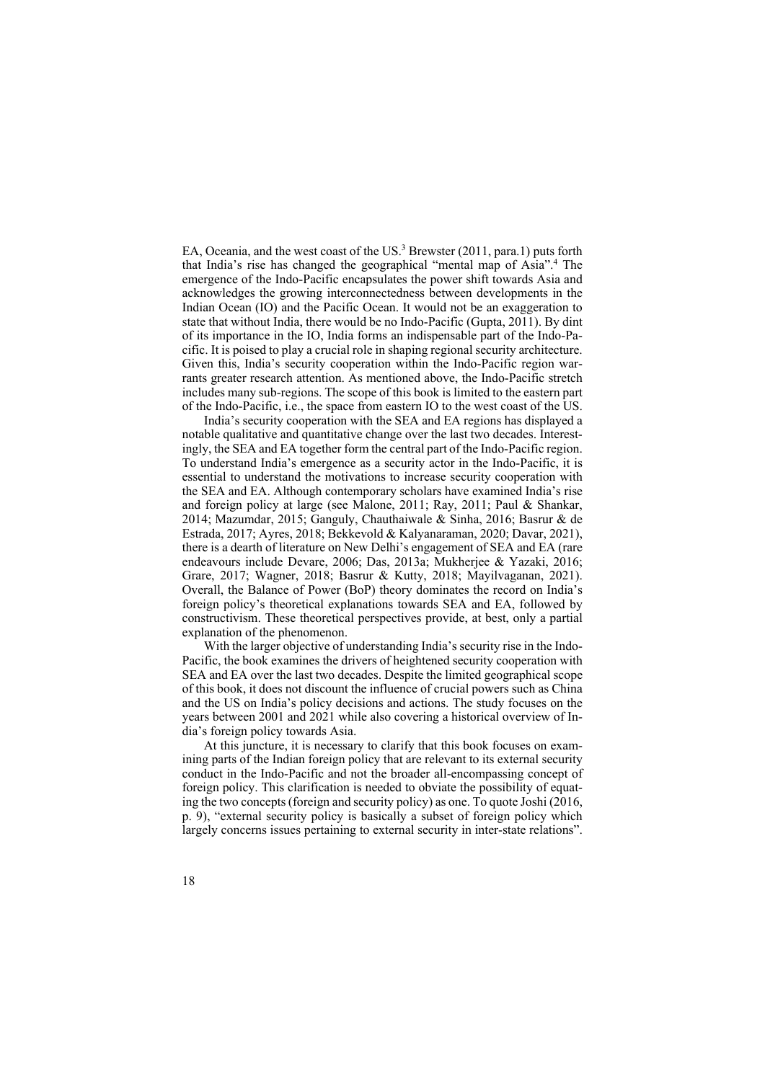EA, Oceania, and the west coast of the US. $3$  Brewster (2011, para.1) puts forth that India's rise has changed the geographical "mental map of Asia".4 The emergence of the Indo-Pacific encapsulates the power shift towards Asia and acknowledges the growing interconnectedness between developments in the Indian Ocean (IO) and the Pacific Ocean. It would not be an exaggeration to state that without India, there would be no Indo-Pacific (Gupta, 2011). By dint of its importance in the IO, India forms an indispensable part of the Indo-Pacific. It is poised to play a crucial role in shaping regional security architecture. Given this, India's security cooperation within the Indo-Pacific region warrants greater research attention. As mentioned above, the Indo-Pacific stretch includes many sub-regions. The scope of this book is limited to the eastern part of the Indo-Pacific, i.e., the space from eastern IO to the west coast of the US.

India's security cooperation with the SEA and EA regions has displayed a notable qualitative and quantitative change over the last two decades. Interestingly, the SEA and EA together form the central part of the Indo-Pacific region. To understand India's emergence as a security actor in the Indo-Pacific, it is essential to understand the motivations to increase security cooperation with the SEA and EA. Although contemporary scholars have examined India's rise and foreign policy at large (see Malone, 2011; Ray, 2011; Paul & Shankar, 2014; Mazumdar, 2015; Ganguly, Chauthaiwale & Sinha, 2016; Basrur & de Estrada, 2017; Ayres, 2018; Bekkevold & Kalyanaraman, 2020; Davar, 2021), there is a dearth of literature on New Delhi's engagement of SEA and EA (rare endeavours include Devare, 2006; Das, 2013a; Mukherjee & Yazaki, 2016; Grare, 2017; Wagner, 2018; Basrur & Kutty, 2018; Mayilvaganan, 2021). Overall, the Balance of Power (BoP) theory dominates the record on India's foreign policy's theoretical explanations towards SEA and EA, followed by constructivism. These theoretical perspectives provide, at best, only a partial explanation of the phenomenon.

With the larger objective of understanding India's security rise in the Indo-Pacific, the book examines the drivers of heightened security cooperation with SEA and EA over the last two decades. Despite the limited geographical scope of this book, it does not discount the influence of crucial powers such as China and the US on India's policy decisions and actions. The study focuses on the years between 2001 and 2021 while also covering a historical overview of India's foreign policy towards Asia.

At this juncture, it is necessary to clarify that this book focuses on examining parts of the Indian foreign policy that are relevant to its external security conduct in the Indo-Pacific and not the broader all-encompassing concept of foreign policy. This clarification is needed to obviate the possibility of equating the two concepts (foreign and security policy) as one. To quote Joshi (2016, p. 9), "external security policy is basically a subset of foreign policy which largely concerns issues pertaining to external security in inter-state relations".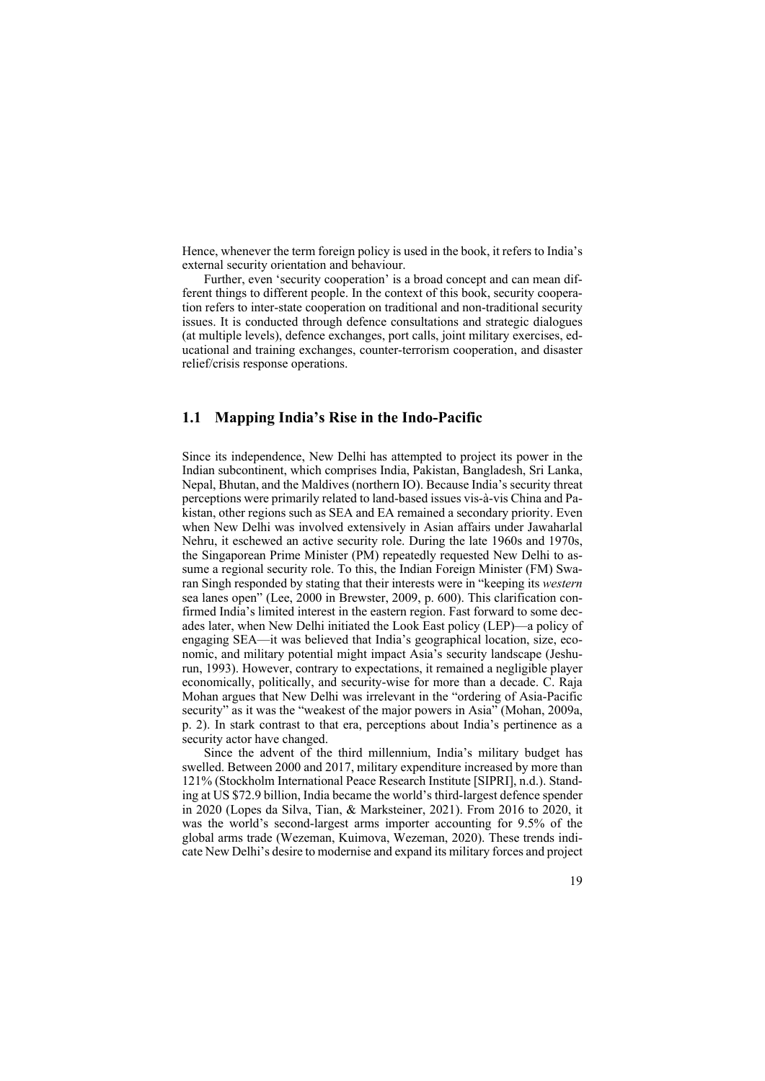Hence, whenever the term foreign policy is used in the book, it refers to India's external security orientation and behaviour.

Further, even 'security cooperation' is a broad concept and can mean different things to different people. In the context of this book, security cooperation refers to inter-state cooperation on traditional and non-traditional security issues. It is conducted through defence consultations and strategic dialogues (at multiple levels), defence exchanges, port calls, joint military exercises, educational and training exchanges, counter-terrorism cooperation, and disaster relief/crisis response operations.

## **1.1 Mapping India's Rise in the Indo-Pacific**

Since its independence, New Delhi has attempted to project its power in the Indian subcontinent, which comprises India, Pakistan, Bangladesh, Sri Lanka, Nepal, Bhutan, and the Maldives (northern IO). Because India's security threat perceptions were primarily related to land-based issues vis-à-vis China and Pakistan, other regions such as SEA and EA remained a secondary priority. Even when New Delhi was involved extensively in Asian affairs under Jawaharlal Nehru, it eschewed an active security role. During the late 1960s and 1970s, the Singaporean Prime Minister (PM) repeatedly requested New Delhi to assume a regional security role. To this, the Indian Foreign Minister (FM) Swaran Singh responded by stating that their interests were in "keeping its *western* sea lanes open" (Lee, 2000 in Brewster, 2009, p. 600). This clarification confirmed India's limited interest in the eastern region. Fast forward to some decades later, when New Delhi initiated the Look East policy (LEP)—a policy of engaging SEA—it was believed that India's geographical location, size, economic, and military potential might impact Asia's security landscape (Jeshurun, 1993). However, contrary to expectations, it remained a negligible player economically, politically, and security-wise for more than a decade. C. Raja Mohan argues that New Delhi was irrelevant in the "ordering of Asia-Pacific security" as it was the "weakest of the major powers in Asia" (Mohan, 2009a, p. 2). In stark contrast to that era, perceptions about India's pertinence as a security actor have changed.

Since the advent of the third millennium, India's military budget has swelled. Between 2000 and 2017, military expenditure increased by more than 121% (Stockholm International Peace Research Institute [SIPRI], n.d.). Standing at US \$72.9 billion, India became the world's third-largest defence spender in 2020 (Lopes da Silva, Tian, & Marksteiner, 2021). From 2016 to 2020, it was the world's second-largest arms importer accounting for 9.5% of the global arms trade (Wezeman, Kuimova, Wezeman, 2020). These trends indicate New Delhi's desire to modernise and expand its military forces and project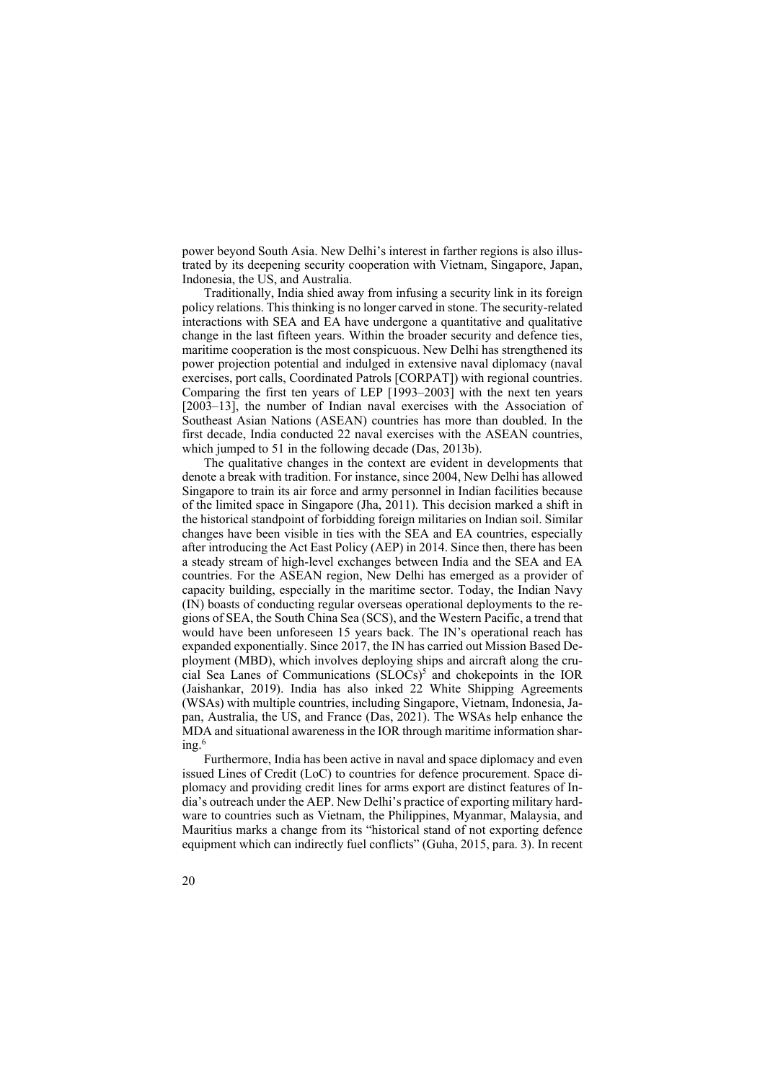power beyond South Asia. New Delhi's interest in farther regions is also illustrated by its deepening security cooperation with Vietnam, Singapore, Japan, Indonesia, the US, and Australia. Traditionally, India shied away from infusing a security link in its foreign

policy relations. This thinking is no longer carved in stone. The security-related interactions with SEA and EA have undergone a quantitative and qualitative change in the last fifteen years. Within the broader security and defence ties, maritime cooperation is the most conspicuous. New Delhi has strengthened its power projection potential and indulged in extensive naval diplomacy (naval exercises, port calls, Coordinated Patrols [CORPAT]) with regional countries. Comparing the first ten years of LEP [1993–2003] with the next ten years [2003–13], the number of Indian naval exercises with the Association of Southeast Asian Nations (ASEAN) countries has more than doubled. In the first decade, India conducted 22 naval exercises with the ASEAN countries, which jumped to 51 in the following decade (Das, 2013b).

The qualitative changes in the context are evident in developments that denote a break with tradition. For instance, since 2004, New Delhi has allowed Singapore to train its air force and army personnel in Indian facilities because of the limited space in Singapore (Jha, 2011). This decision marked a shift in the historical standpoint of forbidding foreign militaries on Indian soil. Similar changes have been visible in ties with the SEA and EA countries, especially after introducing the Act East Policy (AEP) in 2014. Since then, there has been a steady stream of high-level exchanges between India and the SEA and EA countries. For the ASEAN region, New Delhi has emerged as a provider of capacity building, especially in the maritime sector. Today, the Indian Navy (IN) boasts of conducting regular overseas operational deployments to the regions of SEA, the South China Sea (SCS), and the Western Pacific, a trend that would have been unforeseen 15 years back. The IN's operational reach has expanded exponentially. Since 2017, the IN has carried out Mission Based Deployment (MBD), which involves deploying ships and aircraft along the crucial Sea Lanes of Communications (SLOCs)<sup>5</sup> and chokepoints in the IOR (Jaishankar, 2019). India has also inked 22 White Shipping Agreements (WSAs) with multiple countries, including Singapore, Vietnam, Indonesia, Japan, Australia, the US, and France (Das, 2021). The WSAs help enhance the MDA and situational awareness in the IOR through maritime information shar $ing.<sup>6</sup>$ 

Furthermore, India has been active in naval and space diplomacy and even issued Lines of Credit (LoC) to countries for defence procurement. Space diplomacy and providing credit lines for arms export are distinct features of India's outreach under the AEP. New Delhi's practice of exporting military hardware to countries such as Vietnam, the Philippines, Myanmar, Malaysia, and Mauritius marks a change from its "historical stand of not exporting defence equipment which can indirectly fuel conflicts" (Guha, 2015, para. 3). In recent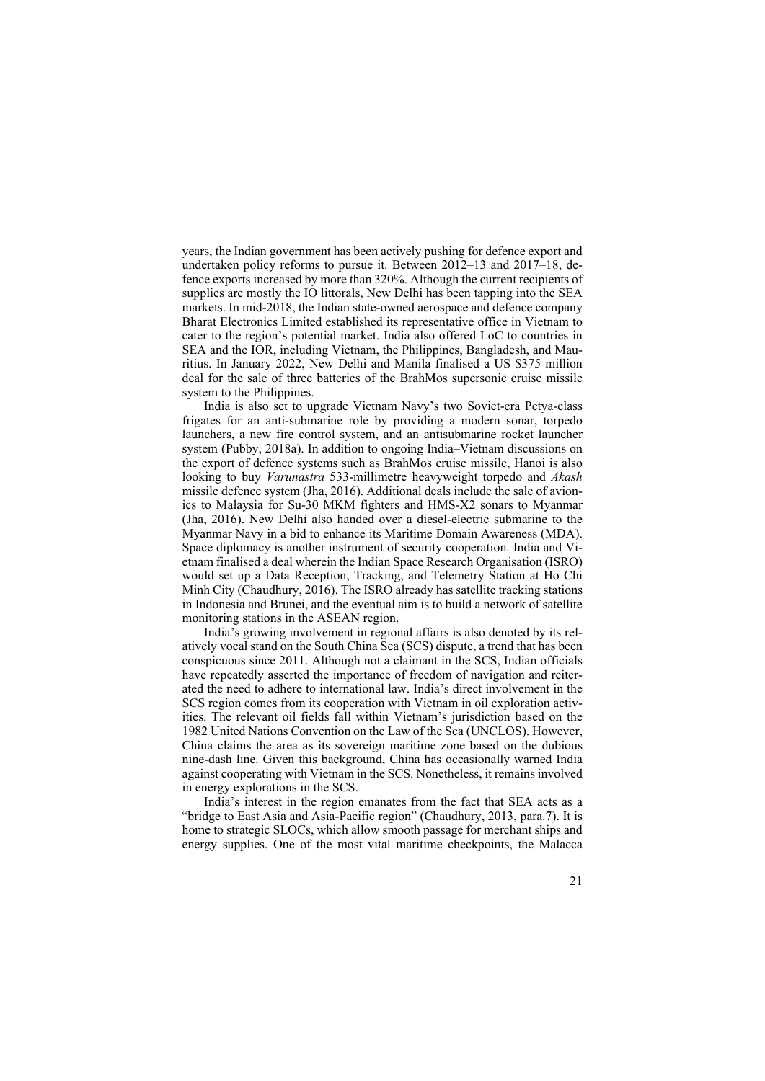years, the Indian government has been actively pushing for defence export and undertaken policy reforms to pursue it. Between 2012–13 and 2017–18, defence exports increased by more than 320%. Although the current recipients of supplies are mostly the IO littorals, New Delhi has been tapping into the SEA markets. In mid-2018, the Indian state-owned aerospace and defence company Bharat Electronics Limited established its representative office in Vietnam to cater to the region's potential market. India also offered LoC to countries in SEA and the IOR, including Vietnam, the Philippines, Bangladesh, and Mauritius. In January 2022, New Delhi and Manila finalised a US \$375 million deal for the sale of three batteries of the BrahMos supersonic cruise missile system to the Philippines.

India is also set to upgrade Vietnam Navy's two Soviet-era Petya-class frigates for an anti-submarine role by providing a modern sonar, torpedo launchers, a new fire control system, and an antisubmarine rocket launcher system (Pubby, 2018a). In addition to ongoing India–Vietnam discussions on the export of defence systems such as BrahMos cruise missile, Hanoi is also looking to buy *Varunastra* 533-millimetre heavyweight torpedo and *Akash* missile defence system (Jha, 2016). Additional deals include the sale of avionics to Malaysia for Su-30 MKM fighters and HMS-X2 sonars to Myanmar (Jha, 2016). New Delhi also handed over a diesel-electric submarine to the Myanmar Navy in a bid to enhance its Maritime Domain Awareness (MDA). Space diplomacy is another instrument of security cooperation. India and Vietnam finalised a deal wherein the Indian Space Research Organisation (ISRO) would set up a Data Reception, Tracking, and Telemetry Station at Ho Chi Minh City (Chaudhury, 2016). The ISRO already has satellite tracking stations in Indonesia and Brunei, and the eventual aim is to build a network of satellite monitoring stations in the ASEAN region.

India's growing involvement in regional affairs is also denoted by its relatively vocal stand on the South China Sea (SCS) dispute, a trend that has been conspicuous since 2011. Although not a claimant in the SCS, Indian officials have repeatedly asserted the importance of freedom of navigation and reiterated the need to adhere to international law. India's direct involvement in the SCS region comes from its cooperation with Vietnam in oil exploration activities. The relevant oil fields fall within Vietnam's jurisdiction based on the 1982 United Nations Convention on the Law of the Sea (UNCLOS). However, China claims the area as its sovereign maritime zone based on the dubious nine-dash line. Given this background, China has occasionally warned India against cooperating with Vietnam in the SCS. Nonetheless, it remains involved in energy explorations in the SCS.

India's interest in the region emanates from the fact that SEA acts as a "bridge to East Asia and Asia-Pacific region" (Chaudhury, 2013, para.7). It is home to strategic SLOCs, which allow smooth passage for merchant ships and energy supplies. One of the most vital maritime checkpoints, the Malacca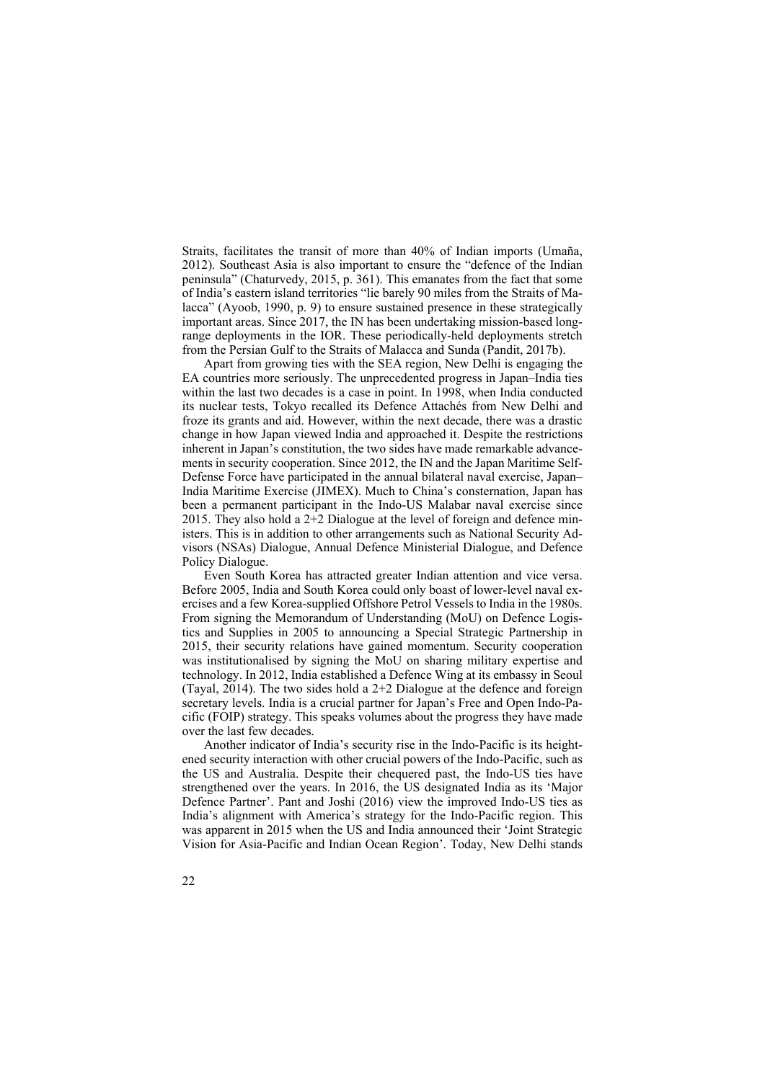Straits, facilitates the transit of more than 40% of Indian imports (Umaña, 2012). Southeast Asia is also important to ensure the "defence of the Indian peninsula" (Chaturvedy, 2015, p. 361). This emanates from the fact that some of India's eastern island territories "lie barely 90 miles from the Straits of Malacca" (Ayoob, 1990, p. 9) to ensure sustained presence in these strategically important areas. Since 2017, the IN has been undertaking mission-based longrange deployments in the IOR. These periodically-held deployments stretch from the Persian Gulf to the Straits of Malacca and Sunda (Pandit, 2017b).

Apart from growing ties with the SEA region, New Delhi is engaging the EA countries more seriously. The unprecedented progress in Japan–India ties within the last two decades is a case in point. In 1998, when India conducted its nuclear tests, Tokyo recalled its Defence Attachés from New Delhi and froze its grants and aid. However, within the next decade, there was a drastic change in how Japan viewed India and approached it. Despite the restrictions inherent in Japan's constitution, the two sides have made remarkable advancements in security cooperation. Since 2012, the IN and the Japan Maritime Self-Defense Force have participated in the annual bilateral naval exercise, Japan– India Maritime Exercise (JIMEX). Much to China's consternation, Japan has been a permanent participant in the Indo-US Malabar naval exercise since 2015. They also hold a 2+2 Dialogue at the level of foreign and defence ministers. This is in addition to other arrangements such as National Security Advisors (NSAs) Dialogue, Annual Defence Ministerial Dialogue, and Defence Policy Dialogue.

Even South Korea has attracted greater Indian attention and vice versa. Before 2005, India and South Korea could only boast of lower-level naval exercises and a few Korea-supplied Offshore Petrol Vessels to India in the 1980s. From signing the Memorandum of Understanding (MoU) on Defence Logistics and Supplies in 2005 to announcing a Special Strategic Partnership in 2015, their security relations have gained momentum. Security cooperation was institutionalised by signing the MoU on sharing military expertise and technology. In 2012, India established a Defence Wing at its embassy in Seoul (Tayal, 2014). The two sides hold a 2+2 Dialogue at the defence and foreign secretary levels. India is a crucial partner for Japan's Free and Open Indo-Pacific (FOIP) strategy. This speaks volumes about the progress they have made over the last few decades.

Another indicator of India's security rise in the Indo-Pacific is its heightened security interaction with other crucial powers of the Indo-Pacific, such as the US and Australia. Despite their chequered past, the Indo-US ties have strengthened over the years. In 2016, the US designated India as its 'Major Defence Partner'. Pant and Joshi (2016) view the improved Indo-US ties as India's alignment with America's strategy for the Indo-Pacific region. This was apparent in 2015 when the US and India announced their 'Joint Strategic Vision for Asia-Pacific and Indian Ocean Region'. Today, New Delhi stands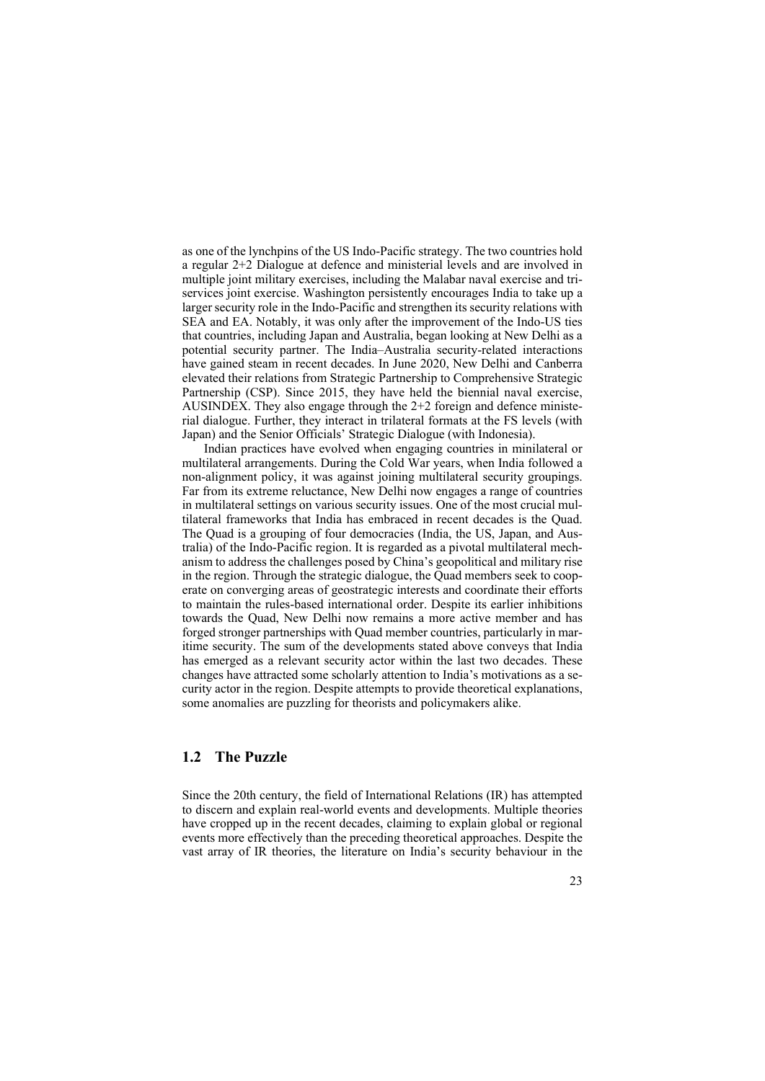as one of the lynchpins of the US Indo-Pacific strategy. The two countries hold a regular 2+2 Dialogue at defence and ministerial levels and are involved in multiple joint military exercises, including the Malabar naval exercise and triservices joint exercise. Washington persistently encourages India to take up a larger security role in the Indo-Pacific and strengthen its security relations with SEA and EA. Notably, it was only after the improvement of the Indo-US ties that countries, including Japan and Australia, began looking at New Delhi as a potential security partner. The India–Australia security-related interactions have gained steam in recent decades. In June 2020, New Delhi and Canberra elevated their relations from Strategic Partnership to Comprehensive Strategic Partnership (CSP). Since 2015, they have held the biennial naval exercise, AUSINDEX. They also engage through the 2+2 foreign and defence ministerial dialogue. Further, they interact in trilateral formats at the FS levels (with Japan) and the Senior Officials' Strategic Dialogue (with Indonesia).

Indian practices have evolved when engaging countries in minilateral or multilateral arrangements. During the Cold War years, when India followed a non-alignment policy, it was against joining multilateral security groupings. Far from its extreme reluctance, New Delhi now engages a range of countries in multilateral settings on various security issues. One of the most crucial multilateral frameworks that India has embraced in recent decades is the Quad. The Quad is a grouping of four democracies (India, the US, Japan, and Australia) of the Indo-Pacific region. It is regarded as a pivotal multilateral mechanism to address the challenges posed by China's geopolitical and military rise in the region. Through the strategic dialogue, the Quad members seek to cooperate on converging areas of geostrategic interests and coordinate their efforts to maintain the rules-based international order. Despite its earlier inhibitions towards the Quad, New Delhi now remains a more active member and has forged stronger partnerships with Quad member countries, particularly in maritime security. The sum of the developments stated above conveys that India has emerged as a relevant security actor within the last two decades. These changes have attracted some scholarly attention to India's motivations as a security actor in the region. Despite attempts to provide theoretical explanations, some anomalies are puzzling for theorists and policymakers alike.

## **1.2 The Puzzle**

Since the 20th century, the field of International Relations (IR) has attempted to discern and explain real-world events and developments. Multiple theories have cropped up in the recent decades, claiming to explain global or regional events more effectively than the preceding theoretical approaches. Despite the vast array of IR theories, the literature on India's security behaviour in the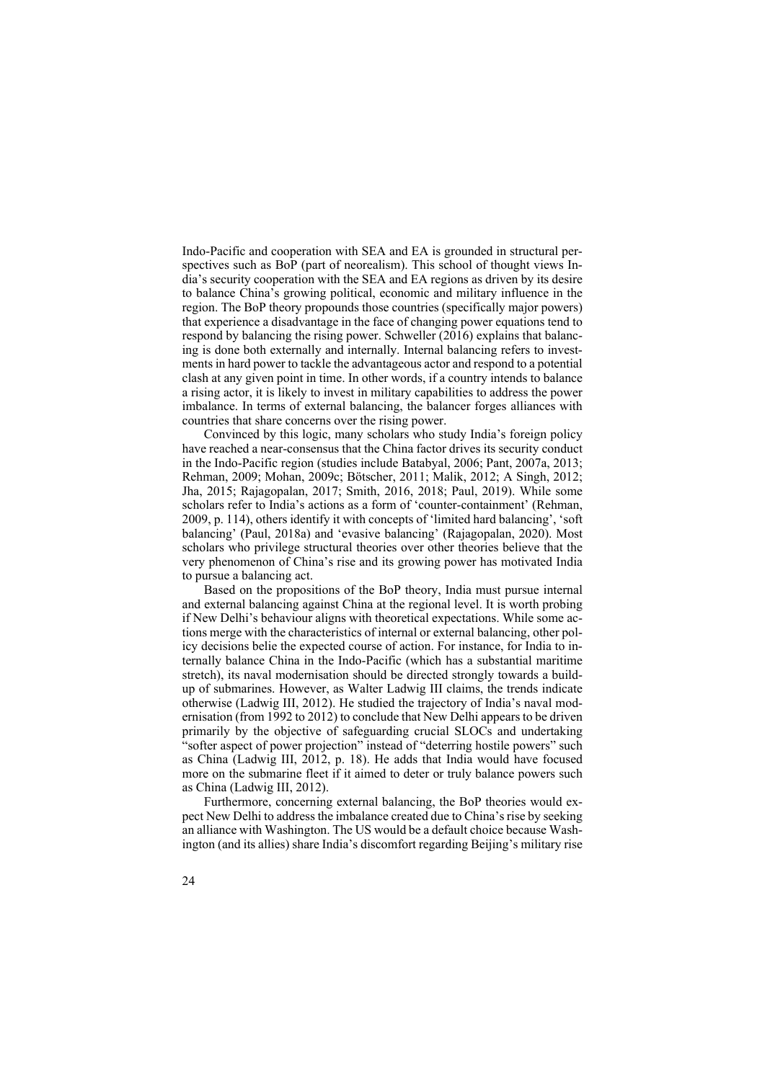Indo-Pacific and cooperation with SEA and EA is grounded in structural perspectives such as BoP (part of neorealism). This school of thought views India's security cooperation with the SEA and EA regions as driven by its desire to balance China's growing political, economic and military influence in the region. The BoP theory propounds those countries (specifically major powers) that experience a disadvantage in the face of changing power equations tend to respond by balancing the rising power. Schweller (2016) explains that balancing is done both externally and internally. Internal balancing refers to investments in hard power to tackle the advantageous actor and respond to a potential clash at any given point in time. In other words, if a country intends to balance a rising actor, it is likely to invest in military capabilities to address the power imbalance. In terms of external balancing, the balancer forges alliances with countries that share concerns over the rising power.

Convinced by this logic, many scholars who study India's foreign policy have reached a near-consensus that the China factor drives its security conduct in the Indo-Pacific region (studies include Batabyal, 2006; Pant, 2007a, 2013; Rehman, 2009; Mohan, 2009c; Bötscher, 2011; Malik, 2012; A Singh, 2012; Jha, 2015; Rajagopalan, 2017; Smith, 2016, 2018; Paul, 2019). While some scholars refer to India's actions as a form of 'counter-containment' (Rehman, 2009, p. 114), others identify it with concepts of 'limited hard balancing', 'soft balancing' (Paul, 2018a) and 'evasive balancing' (Rajagopalan, 2020). Most scholars who privilege structural theories over other theories believe that the very phenomenon of China's rise and its growing power has motivated India to pursue a balancing act.

Based on the propositions of the BoP theory, India must pursue internal and external balancing against China at the regional level. It is worth probing if New Delhi's behaviour aligns with theoretical expectations. While some actions merge with the characteristics of internal or external balancing, other policy decisions belie the expected course of action. For instance, for India to internally balance China in the Indo-Pacific (which has a substantial maritime stretch), its naval modernisation should be directed strongly towards a buildup of submarines. However, as Walter Ladwig III claims, the trends indicate otherwise (Ladwig III, 2012). He studied the trajectory of India's naval modernisation (from 1992 to 2012) to conclude that New Delhi appears to be driven primarily by the objective of safeguarding crucial SLOCs and undertaking "softer aspect of power projection" instead of "deterring hostile powers" such as China (Ladwig III, 2012, p. 18). He adds that India would have focused more on the submarine fleet if it aimed to deter or truly balance powers such as China (Ladwig III, 2012).

Furthermore, concerning external balancing, the BoP theories would expect New Delhi to address the imbalance created due to China's rise by seeking an alliance with Washington. The US would be a default choice because Washington (and its allies) share India's discomfort regarding Beijing's military rise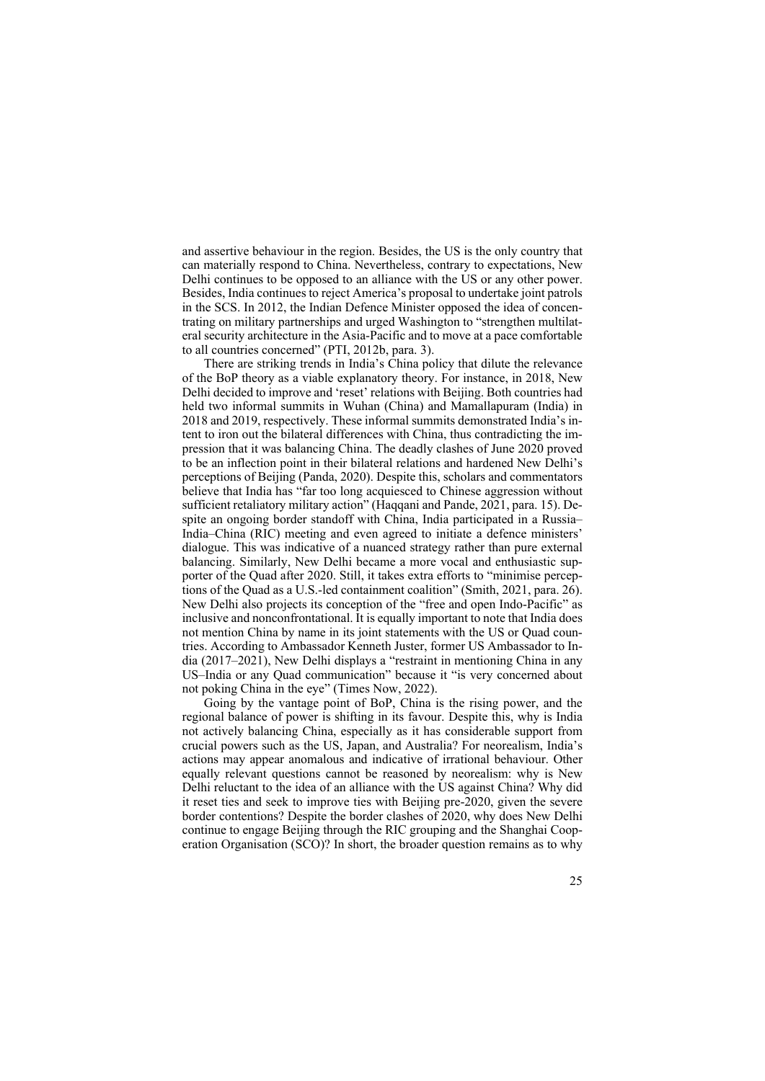and assertive behaviour in the region. Besides, the US is the only country that can materially respond to China. Nevertheless, contrary to expectations, New Delhi continues to be opposed to an alliance with the US or any other power. Besides, India continues to reject America's proposal to undertake joint patrols in the SCS. In 2012, the Indian Defence Minister opposed the idea of concentrating on military partnerships and urged Washington to "strengthen multilateral security architecture in the Asia-Pacific and to move at a pace comfortable to all countries concerned" (PTI, 2012b, para. 3).

There are striking trends in India's China policy that dilute the relevance of the BoP theory as a viable explanatory theory. For instance, in 2018, New Delhi decided to improve and 'reset' relations with Beijing. Both countries had held two informal summits in Wuhan (China) and Mamallapuram (India) in 2018 and 2019, respectively. These informal summits demonstrated India's intent to iron out the bilateral differences with China, thus contradicting the impression that it was balancing China. The deadly clashes of June 2020 proved to be an inflection point in their bilateral relations and hardened New Delhi's perceptions of Beijing (Panda, 2020). Despite this, scholars and commentators believe that India has "far too long acquiesced to Chinese aggression without sufficient retaliatory military action" (Haqqani and Pande, 2021, para. 15). Despite an ongoing border standoff with China, India participated in a Russia– India–China (RIC) meeting and even agreed to initiate a defence ministers' dialogue. This was indicative of a nuanced strategy rather than pure external balancing. Similarly, New Delhi became a more vocal and enthusiastic supporter of the Quad after 2020. Still, it takes extra efforts to "minimise perceptions of the Quad as a U.S.-led containment coalition" (Smith, 2021, para. 26). New Delhi also projects its conception of the "free and open Indo-Pacific" as inclusive and nonconfrontational. It is equally important to note that India does not mention China by name in its joint statements with the US or Quad countries. According to Ambassador Kenneth Juster, former US Ambassador to India (2017–2021), New Delhi displays a "restraint in mentioning China in any US–India or any Quad communication" because it "is very concerned about not poking China in the eye" (Times Now, 2022).

Going by the vantage point of BoP, China is the rising power, and the regional balance of power is shifting in its favour. Despite this, why is India not actively balancing China, especially as it has considerable support from crucial powers such as the US, Japan, and Australia? For neorealism, India's actions may appear anomalous and indicative of irrational behaviour. Other equally relevant questions cannot be reasoned by neorealism: why is New Delhi reluctant to the idea of an alliance with the US against China? Why did it reset ties and seek to improve ties with Beijing pre-2020, given the severe border contentions? Despite the border clashes of 2020, why does New Delhi continue to engage Beijing through the RIC grouping and the Shanghai Cooperation Organisation (SCO)? In short, the broader question remains as to why